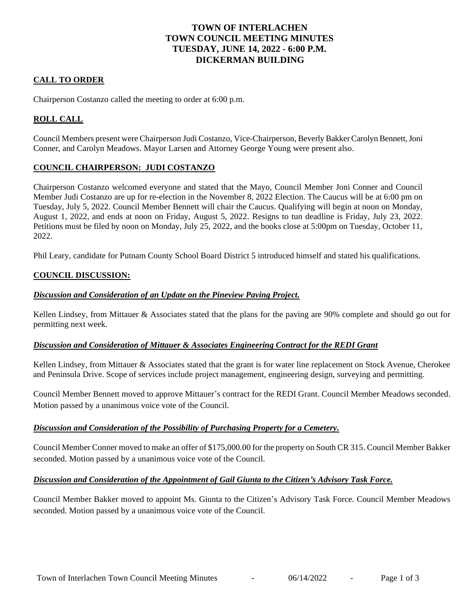# **TOWN OF INTERLACHEN TOWN COUNCIL MEETING MINUTES TUESDAY, JUNE 14, 2022 - 6:00 P.M. DICKERMAN BUILDING**

## **CALL TO ORDER**

Chairperson Costanzo called the meeting to order at 6:00 p.m.

# **ROLL CALL**

Council Members present were Chairperson Judi Costanzo, Vice-Chairperson, Beverly BakkerCarolyn Bennett,Joni Conner, and Carolyn Meadows. Mayor Larsen and Attorney George Young were present also.

## **COUNCIL CHAIRPERSON: JUDI COSTANZO**

Chairperson Costanzo welcomed everyone and stated that the Mayo, Council Member Joni Conner and Council Member Judi Costanzo are up for re-election in the November 8, 2022 Election. The Caucus will be at 6:00 pm on Tuesday, July 5, 2022. Council Member Bennett will chair the Caucus. Qualifying will begin at noon on Monday, August 1, 2022, and ends at noon on Friday, August 5, 2022. Resigns to tun deadline is Friday, July 23, 2022. Petitions must be filed by noon on Monday, July 25, 2022, and the books close at 5:00pm on Tuesday, October 11, 2022.

Phil Leary, candidate for Putnam County School Board District 5 introduced himself and stated his qualifications.

### **COUNCIL DISCUSSION:**

## *Discussion and Consideration of an Update on the Pineview Paving Project.*

Kellen Lindsey, from Mittauer & Associates stated that the plans for the paving are 90% complete and should go out for permitting next week.

### *Discussion and Consideration of Mittauer & Associates Engineering Contract for the REDI Grant*

Kellen Lindsey, from Mittauer & Associates stated that the grant is for water line replacement on Stock Avenue, Cherokee and Peninsula Drive. Scope of services include project management, engineering design, surveying and permitting.

Council Member Bennett moved to approve Mittauer's contract for the REDI Grant. Council Member Meadows seconded. Motion passed by a unanimous voice vote of the Council.

### *Discussion and Consideration of the Possibility of Purchasing Property for a Cemetery.*

Council Member Conner moved to make an offer of \$175,000.00 for the property on South CR 315. Council Member Bakker seconded. Motion passed by a unanimous voice vote of the Council.

### *Discussion and Consideration of the Appointment of Gail Giunta to the Citizen's Advisory Task Force.*

Council Member Bakker moved to appoint Ms. Giunta to the Citizen's Advisory Task Force. Council Member Meadows seconded. Motion passed by a unanimous voice vote of the Council.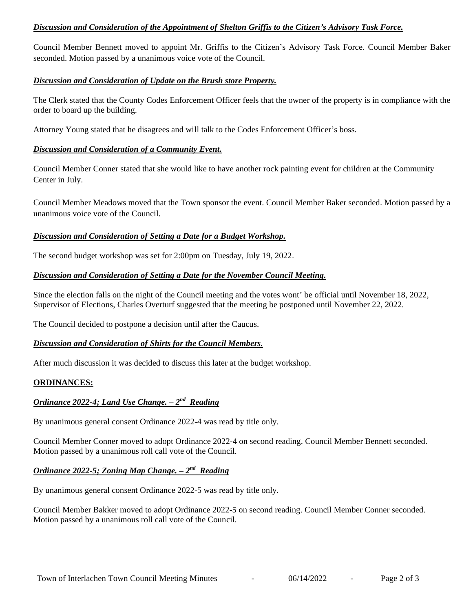## *Discussion and Consideration of the Appointment of Shelton Griffis to the Citizen's Advisory Task Force.*

Council Member Bennett moved to appoint Mr. Griffis to the Citizen's Advisory Task Force. Council Member Baker seconded. Motion passed by a unanimous voice vote of the Council.

## *Discussion and Consideration of Update on the Brush store Property.*

The Clerk stated that the County Codes Enforcement Officer feels that the owner of the property is in compliance with the order to board up the building.

Attorney Young stated that he disagrees and will talk to the Codes Enforcement Officer's boss.

## *Discussion and Consideration of a Community Event.*

Council Member Conner stated that she would like to have another rock painting event for children at the Community Center in July.

Council Member Meadows moved that the Town sponsor the event. Council Member Baker seconded. Motion passed by a unanimous voice vote of the Council.

## *Discussion and Consideration of Setting a Date for a Budget Workshop.*

The second budget workshop was set for 2:00pm on Tuesday, July 19, 2022.

## *Discussion and Consideration of Setting a Date for the November Council Meeting.*

Since the election falls on the night of the Council meeting and the votes wont' be official until November 18, 2022, Supervisor of Elections, Charles Overturf suggested that the meeting be postponed until November 22, 2022.

The Council decided to postpone a decision until after the Caucus.

## *Discussion and Consideration of Shirts for the Council Members.*

After much discussion it was decided to discuss this later at the budget workshop.

### **ORDINANCES:**

## *Ordinance 2022-4; Land Use Change. – 2 nd Reading*

By unanimous general consent Ordinance 2022-4 was read by title only.

Council Member Conner moved to adopt Ordinance 2022-4 on second reading. Council Member Bennett seconded. Motion passed by a unanimous roll call vote of the Council.

## *Ordinance 2022-5; Zoning Map Change. – 2 nd Reading*

By unanimous general consent Ordinance 2022-5 was read by title only.

Council Member Bakker moved to adopt Ordinance 2022-5 on second reading. Council Member Conner seconded. Motion passed by a unanimous roll call vote of the Council.